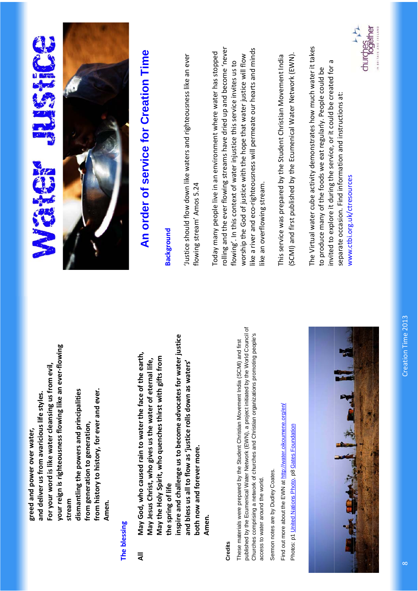**your reign is righteousness flowing like an ever-flowing**  your reign is righteousness flowing like an ever-flowing  **For your word is like water cleansing us from evil,**  For your word is like water cleansing us from evil,  **from history to history, for ever and ever.**  dismantling the powers and principalities  **dismantling the powers and principalities**  from history to history, for ever and ever.  **and deliver us from avaricious life styles.**  and deliver us from avaricious life styles.  **from generation to generation,**  from generation to generation, greed and power over water,  **greed and power over water, stream**  stream  **Amen.**  Amen.

#### **The blessing**  The blessing

nspire and challenge us to become advocates for water justice  **inspire and challenge us to become advocates for water justice**  May God, who caused rain to water the face of the earth, **All May God, who caused rain to water the face of the earth, May the Holy Spirit, who quenches thirst with gifts from**  May the Holy Spirit, who quenches thirst with gifts from  **May Jesus Christ, who gives us the water of eternal life,**  May Jesus Christ, who gives us the water of eternal life,  **and bless us all to flow as 'justice rolls down as waters'**  and bless us all to flow as 'justice rolls down as waters'  **both now and forever more.**  both now and forever more. the spring of life **the spring of life Amen.**  Amen.  $\overline{a}$ 

#### **Credits**

published by the Ecumenical Water Network (EWN), a project initiated by the World Council of published by the Ecumenical Water Network (EWN), a project initiated by the World Council of Churches comprising a network of churches and Christian organizations promoting people's Churches comprising a network of churches and Christian organizations promoting people's These materials were prepared by the Student Christian Movement India (SCMI) and first These materials were prepared by the Student Christian Movement India (SCMI) and first access to water around the world. access to water around the world.

Sermon notes are by Dudley Coates. Sermon notes are by Dudley Coates.

Find out more about the EWN at http://water.oikoumene.org/en/ Find out more about the EWN at http://water.oikoumene.org/en/ Photos: p1 United Nations Photo, p8 Gates Foundation Photos: p1 United Nations Photo, p8 Gates Foundation



# 



## **An order of service for Creation Time**

#### **Background Background**

'Justice should flow down like waters and righteousness like an ever Justice should flow down like waters and righteousness like an ever flowing stream' Amos 5.24 flowing stream' Amos 5.24

rolling and the ever flowing streams have dried up and become 'never rolling and the ever flowing streams have dried up and become 'never like a river and eco-righteousness will permeate our hearts and minds like a river and eco-righteousness will permeate our hearts and minds Today many people live in an environment where water has stopped Today many people live in an environment where water has stopped worship the God of justice with the hope that water justice will flow worship the God of justice with the hope that water justice will flow flowing'. In this context of water injustice this service invites us to flowing'. In this context of water injustice this service invites us to like an overflowing stream. ike an overflowing stream.

This service was prepared by the Student Christian Movement India (SCMI) and first published by the Ecumenical Water Network (EWN). (SCMI) and first published by the Ecumenical Water Network (EWN). This service was prepared by the Student Christian Movement India

The Virtual water cube activity demonstrates how much water it takes The Virtual water cube activity demonstrates how much water it takes invited to explore it during the service, or it could be created for a invited to explore it during the service, or it could be created for a to produce many of the foods we eat regularly. People could be to produce many of the foods we eat regularly. People could be separate occasion. Find information and instructions at: separate occasion. Find information and instructions at: www.ctbi.org.uk/ctresources www.ctbi.org.uk/ctresources

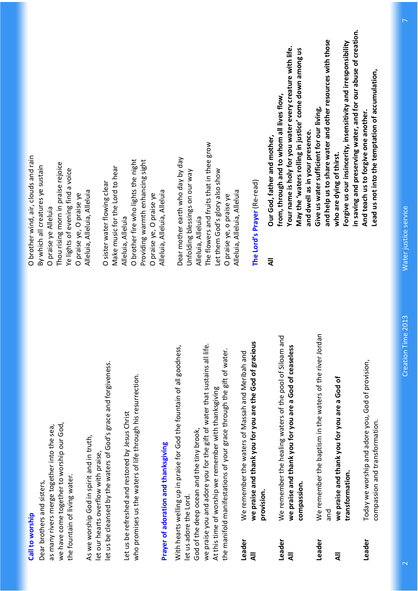#### Call to worship **Call to worship**

we have come together to worship our God, as many rivers merge together into the sea, we have come together to worship our God, as many rivers merge together into the sea, the fountain of living water. the fountain of living water. Dear brothers and sisters, Dear brothers and sisters,

let us be cleansed by the waters of God's grace and forgiveness. let us be cleansed by the waters of God's grace and forgiveness. As we worship God in spirit and in truth, As we worship God in spirit and in truth, let our hearts overflow with praise, let our hearts overflow with praise,

who promises us the waters of life through his resurrection. who promises us the waters of life through his resurrection. Let us be refreshed and restored by Jesus Christ Let us be refreshed and restored by Jesus Christ

## **Prayer of adoration and thanksgiving**  Prayer of adoration and thanksgiving

we praise you and adore you for the gift of water that sustains all life. With hearts welling up in praise for God the fountain of all goodness, we praise you and adore you for the gift of water that sustains all life. With hearts welling up in praise for God the fountain of all goodness, the manifold manifestations of your grace through the gift of water. the manifold manifestations of your grace through the gift of water. At this time of worship we remember with thanksgiving At this time of worship we remember with thanksgiving God of the deep ocean and the tiny brook, God of the deep ocean and the tiny brook, let us adore the Lord. let us adore the Lord.

- we praise and thank you for you are the God of gracious **All we praise and thank you for you are the God of gracious**  We remember the waters of Massah and Meribah and **Leader** We remember the waters of Massah and Meribah and **provision.**  provision. Leader  $\bar{a}$
- **Leader** We remember the healing waters of the pool of Siloam and We remember the healing waters of the pool of Siloam and **All we praise and thank you for you are a God of ceaseless**  we praise and thank you for you are a God of ceaseless **compassion.**  compassion. Leader  $\bar{a}$
- **Leader** We remember the baptism in the waters of the river Jordan We remember the baptism in the waters of the river Jordan and Leader
	- **All we praise and thank you for you are a God of**  we praise and thank you for you are a God of **transformation.**  transformation.  $\bar{a}$
- **Leader** Today we worship and adore you, God of provision, Today we worship and adore you, God of provision, compassion and transformation. compassion and transformation. Leader

O brother wind, air, clouds and rain O brother wind, air, clouds and rain Thou rising morn in praise rejoice Thou rising morn in praise rejoice By which all creatures ye sustain By which all creatures ye sustain Ye lights of evening find a voice Ye lights of evening find a voice Alleluia, Alleluia, Alleluia Alleluia, Alleluia, Alleluia O praise ye, O praise ye O praise ye, O praise ye O praise ye Alleluia O praise ye Alleluia

O brother fire who lights the night Providing warmth enhancing sight O brother fire who lights the night Providing warmth enhancing sight Make music for the Lord to hear Make music for the Lord to hear O sister water flowing clear O sister water flowing clear Alleluia, Alleluia, Alleluia Alleluia, Alleluia, Alleluia O praise ye, O praise ye O praise ye, O praise ye Alleluia, Alleluia Alleluia, Alleluia

The flowers and fruits that in thee grow The flowers and fruits that in thee grow Dear mother earth who day by day Dear mother earth who day by day Let them God's glory also show Unfolding blessings on our way Let them God's glory also show Unfolding blessings on our way Alleluia, Alleluia, Alleluia Alleluia, Alleluia, Alleluia O praise ye, o praise ye O praise ye, o praise ye Alleluia, Alleluia Alleluia, Alleluia

### **The Lord's Prayer** (Re-read) The Lord's Prayer (Re-read)

 $\bar{a}$ 

 **and help us to share water and other resources with those**  and help us to share water and other resources with those  **Forgive us our insincerity, insensitivity and irresponsibility**  Forgive us our insincerity, insensitivity and irresponsibility  **Your name is holy for you water every creature with life.**  Your name is holy for you water every creature with life. May the 'waters rolling in justice' come down among us  **May the 'waters rolling in justice' come down among us from, through and to whom all lives flow,**  from, through and to whom all lives flow,  **Give us water sufficient for our living,**  Give us water sufficient for our living, and dwell as in your presence.  **and dwell as in your presence.**  Our God, father and mother, **All Our God, father and mother, who are dying of thirst.**  who are dying of thirst.

 **in saving and preserving water, and for our abuse of creation.**  in saving and preserving water, and for our abuse of creation.  **Lead us not into the temptation of accumulation,**  Lead us not into the temptation of accumulation,  **And teach us to forgive one another.**  And teach us to forgive one another.

> Creation Time 2013 2 Creation Time 2013

 $\overline{\mathbf{C}}$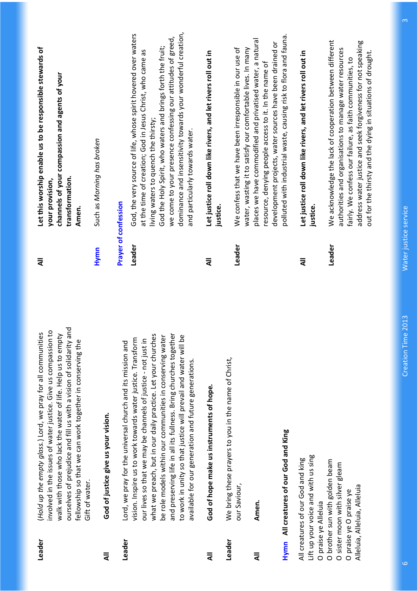| Leader<br>$\bar{a}$  | ourselves of prejudice and fill us with a vision of solidarity and<br>involved in the issues of water justice. Give us compassion to<br>(Hold up the empty glass.) Lord, we pray for all communities<br>walk with those who lack the water of life. Help us to empty<br>fellowship so that we can work together in conserving the<br>God of justice give us your vision.<br>Gift of water.                                                               | Hymn<br>₹                   | Let this worship enable us to be responsible stewards of<br>channels of your compassion and agents of your<br>Such as Morning has broken<br>transformation.<br>your provision,<br>Amen.                                                                                                                                                                                                              |
|----------------------|----------------------------------------------------------------------------------------------------------------------------------------------------------------------------------------------------------------------------------------------------------------------------------------------------------------------------------------------------------------------------------------------------------------------------------------------------------|-----------------------------|------------------------------------------------------------------------------------------------------------------------------------------------------------------------------------------------------------------------------------------------------------------------------------------------------------------------------------------------------------------------------------------------------|
| Leader               | Lord, we pray for the universal church and its mission and                                                                                                                                                                                                                                                                                                                                                                                               | <b>Prayer of confession</b> |                                                                                                                                                                                                                                                                                                                                                                                                      |
|                      | and preserving life in all its fullness. Bring churches together<br>what we preach, but in our daily practice. Let your churches<br>be role models within our communities in conserving water<br>to work in unity so that justice will prevail and water will be<br>vision. Inspire us to work towards water justice. Transform<br>our lives so that we may be channels of justice - not just in<br>available for our generation and future generations. | Leader                      | dominance and insensitivity towards your wonderful creation,<br>God, the very source of life, whose spirit hovered over waters<br>we come to your presence confessing our attitudes of greed,<br>God the Holy Spirit, who waters and brings forth the fruit;<br>at the time of creation; God in Jesus Christ, who came as<br>living waters to quench the thirsty;<br>and particularly towards water. |
| ₹                    | God of hope make us instruments of hope.                                                                                                                                                                                                                                                                                                                                                                                                                 | ₹                           | Let justice roll down like rivers, and let rivers roll out in<br>justice.                                                                                                                                                                                                                                                                                                                            |
| Leader               | We bring these prayers to you in the name of Christ,                                                                                                                                                                                                                                                                                                                                                                                                     |                             |                                                                                                                                                                                                                                                                                                                                                                                                      |
|                      | our Saviour,                                                                                                                                                                                                                                                                                                                                                                                                                                             | Leader                      | We confess that we have been irresponsible in our use of<br>water, wasting it to satisfy our comfortable lives. In many                                                                                                                                                                                                                                                                              |
| ₹                    | Amen.                                                                                                                                                                                                                                                                                                                                                                                                                                                    |                             | places we have commodified and privatised water, a natural<br>development projects, water sources have been drained or<br>resource, denying people access to it. In the name of                                                                                                                                                                                                                      |
| Hymn                 | All creatures of our God and King                                                                                                                                                                                                                                                                                                                                                                                                                        |                             | polluted with industrial waste, causing risk to flora and fauna.                                                                                                                                                                                                                                                                                                                                     |
| O praise ye Alleluia | Lift up your voice and with us sing<br>All creatures of our God and king                                                                                                                                                                                                                                                                                                                                                                                 | ₹                           | Let justice roll down like rivers, and let rivers roll out in<br>justice.                                                                                                                                                                                                                                                                                                                            |
|                      | O brother sun with golden beam<br>O sister moon with silver gleam<br>Alleluia, Alleluia, Alleluia<br>O praise ye O praise ye                                                                                                                                                                                                                                                                                                                             | Leader                      | We acknowledge the lack of cooperation between different<br>address water justice and seek forgiveness for not speaking<br>authorities and organisations to manage water resources<br>out for the thirsty and the dying in situations of drought.<br>fairly. We confess our failure, as faith communities, to                                                                                        |